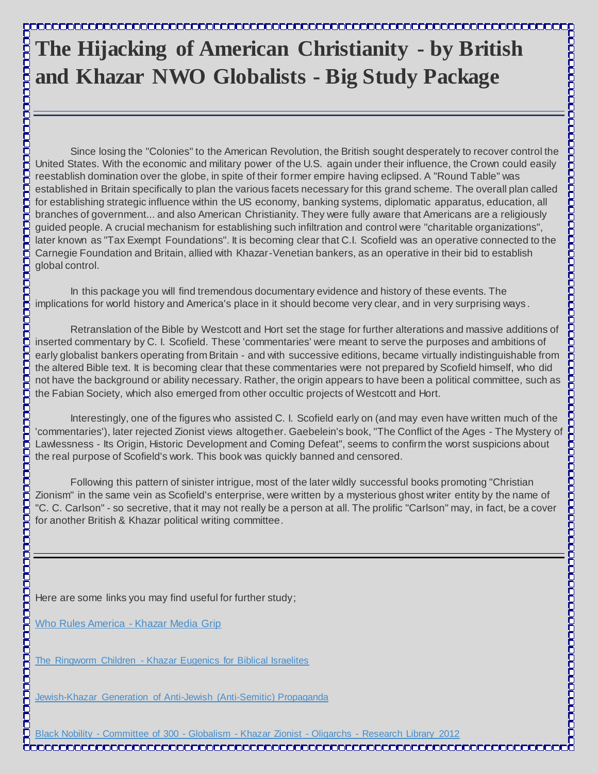## **The Hijacking of American Christianity - by British and Khazar NWO Globalists - Big Study Package**

Since losing the "Colonies" to the American Revolution, the British sought desperately to recover control the United States. With the economic and military power of the U.S. again under their influence, the Crown could easily reestablish domination over the globe, in spite of their former empire having eclipsed. A "Round Table" was established in Britain specifically to plan the various facets necessary for this grand scheme. The overall plan called for establishing strategic influence within the US economy, banking systems, diplomatic apparatus, education, all branches of government... and also American Christianity. They were fully aware that Americans are a religiously guided people. A crucial mechanism for establishing such infiltration and control were "charitable organizations", later known as "Tax Exempt Foundations". It is becoming clear that C.I. Scofield was an operative connected to the Carnegie Foundation and Britain, allied with Khazar-Venetian bankers, as an operative in their bid to establish global control. Since loads one Colomiest to the American Revolution. the British sucytidesperse is the December of the US ages - Weiner and the US ages - Weiner and the Conflict of the Conflict of the Conflict of the Conflict of the Ages

In this package you will find tremendous documentary evidence and history of these events. The implications for world history and America's place in it should become very clear, and in very surprising ways .

Retranslation of the Bible by Westcott and Hort set the stage for further alterations and massive additions of inserted commentary by C. I. Scofield. These 'commentaries' were meant to serve the purposes and ambitions of early globalist bankers operating from Britain - and with successive editions, became virtually indistinguishable from the altered Bible text. It is becoming clear that these commentaries were not prepared by Scofield himself, who did not have the background or ability necessary. Rather, the origin appears to have been a political committee, such as the Fabian Society, which also emerged from other occultic projects of Westcott and Hort.

Interestingly, one of the figures who assisted C. I. Scofield early on (and may even have written much of the Lawlessness - Its Origin, Historic Development and Coming Defeat", seems to confirm the worst suspicions about the real purpose of Scofield's work. This book was quickly banned and censored.

Following this pattern of sinister intrigue, most of the later wildly successful books promoting "Christian Zionism" in the same vein as Scofield's enterprise, were written by a mysterious ghost writer entity by the name of "C. C. Carlson" - so secretive, that it may not really be a person at all. The prolific "Carlson" may, in fact, be a cover for another British & Khazar political writing committee.

Here are some links you may find useful for further study;

[Who Rules America -](http://archive.org/details/WhoRulesAmerica-KhazarMediaGrip) Khazar Media Grip

С

The Ringworm Children - [Khazar Eugenics for Biblical Israelites](http://archive.org/details/TheRingwormChildren-KhazarEugenicsForBiblicalIsraelites)

[Jewish-Khazar Generation of Anti-Jewish \(Anti-Semitic\) Propaganda](http://archive.org/details/Jewish-khazarGenerationOfAnti-jewishanti-semiticPropaganda)

Black Nobility - Committee of 300 - Globalism - Khazar Zionist - Oligarchs - [Research Library 2012](http://archive.org/details/BlackNobility-CommitteeOf300-Globalism-KhazarZionist-Oligarchs-)